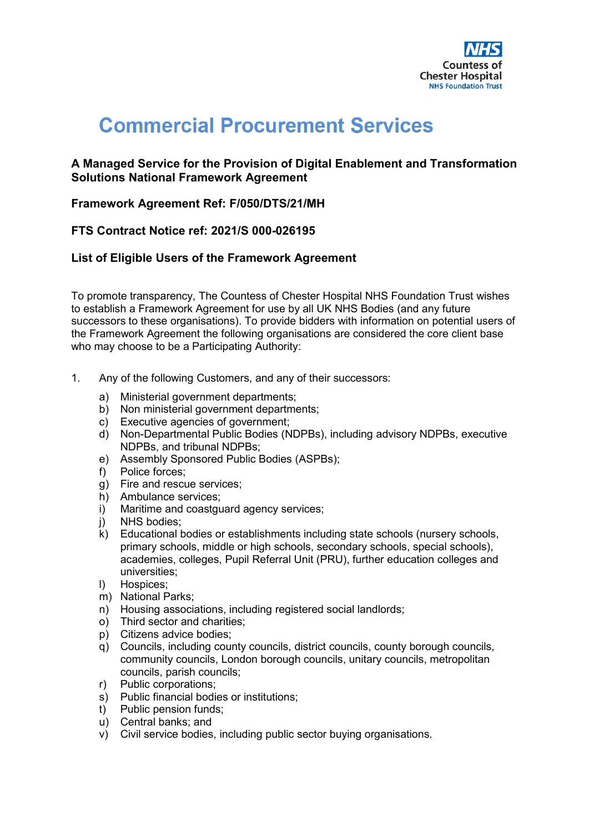

# **Commercial Procurement Services**

## **A Managed Service for the Provision of Digital Enablement and Transformation Solutions National Framework Agreement**

## **Framework Agreement Ref: F/050/DTS/21/MH**

# **FTS Contract Notice ref: 2021/S 000-026195**

### **List of Eligible Users of the Framework Agreement**

To promote transparency, The Countess of Chester Hospital NHS Foundation Trust wishes to establish a Framework Agreement for use by all UK NHS Bodies (and any future successors to these organisations). To provide bidders with information on potential users of the Framework Agreement the following organisations are considered the core client base who may choose to be a Participating Authority:

- 1. Any of the following Customers, and any of their successors:
	- a) Ministerial government departments;
	- b) Non ministerial government departments;
	- c) Executive agencies of government;
	- d) Non-Departmental Public Bodies (NDPBs), including advisory NDPBs, executive NDPBs, and tribunal NDPBs;
	- e) Assembly Sponsored Public Bodies (ASPBs);
	- f) Police forces;
	- g) Fire and rescue services;
	- h) Ambulance services;
	- i) Maritime and coastguard agency services;
	- j) NHS bodies;
	- k) Educational bodies or establishments including state schools (nursery schools, primary schools, middle or high schools, secondary schools, special schools), academies, colleges, Pupil Referral Unit (PRU), further education colleges and universities;
	- l) Hospices;
	- m) National Parks;
	- n) Housing associations, including registered social landlords;
	- o) Third sector and charities;
	- p) Citizens advice bodies;
	- q) Councils, including county councils, district councils, county borough councils, community councils, London borough councils, unitary councils, metropolitan councils, parish councils;
	- r) Public corporations;
	- s) Public financial bodies or institutions;
	- t) Public pension funds;
	- u) Central banks; and
	- v) Civil service bodies, including public sector buying organisations.